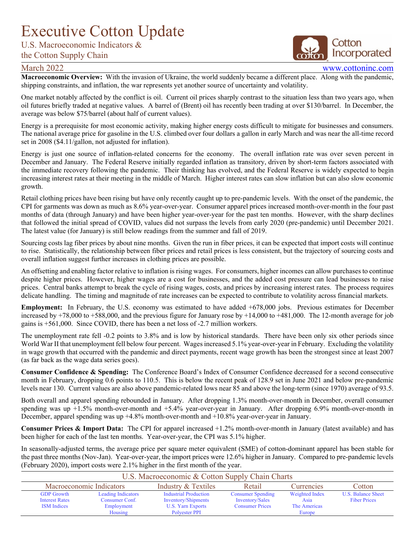# <span id="page-0-0"></span>Executive Cotton Update

U.S. Macroeconomic Indicators &

## the Cotton Supply Chain



### March 2022 www.cottoninc.com

**Macroeconomic Overview:** With the invasion of Ukraine, the world suddenly became a different place. Along with the pandemic, shipping constraints, and inflation, the war represents yet another source of uncertainty and volatility.

One market notably affected by the conflict is oil. Current oil prices sharply contrast to the situation less than two years ago, when oil futures briefly traded at negative values. A barrel of (Brent) oil has recently been trading at over \$130/barrel. In December, the average was below \$75/barrel (about half of current values).

Energy is a prerequisite for most economic activity, making higher energy costs difficult to mitigate for businesses and consumers. The national average price for gasoline in the U.S. climbed over four dollars a gallon in early March and was near the all-time record set in 2008 (\$4.11/gallon, not adjusted for inflation).

Energy is just one source of inflation-related concerns for the economy. The overall inflation rate was over seven percent in December and January. The Federal Reserve initially regarded inflation as transitory, driven by short-term factors associated with the immediate recovery following the pandemic. Their thinking has evolved, and the Federal Reserve is widely expected to begin increasing interest rates at their meeting in the middle of March. Higher interest rates can slow inflation but can also slow economic growth.

Retail clothing prices have been rising but have only recently caught up to pre-pandemic levels. With the onset of the pandemic, the CPI for garments was down as much as 8.6% year-over-year. Consumer apparel prices increased month-over-month in the four past months of data (through January) and have been higher year-over-year for the past ten months. However, with the sharp declines that followed the initial spread of COVID, values did not surpass the levels from early 2020 (pre-pandemic) until December 2021. The latest value (for January) is still below readings from the summer and fall of 2019.

Sourcing costs lag fiber prices by about nine months. Given the run in fiber prices, it can be expected that import costs will continue to rise. Statistically, the relationship between fiber prices and retail prices is less consistent, but the trajectory of sourcing costs and overall inflation suggest further increases in clothing prices are possible.

An offsetting and enabling factor relative to inflation is rising wages. For consumers, higher incomes can allow purchases to continue despite higher prices. However, higher wages are a cost for businesses, and the added cost pressure can lead businesses to raise prices. Central banks attempt to break the cycle of rising wages, costs, and prices by increasing interest rates. The process requires delicate handling. The timing and magnitude of rate increases can be expected to contribute to volatility across financial markets.

**Employment:** In February, the U.S. economy was estimated to have added +678,000 jobs. Previous estimates for December increased by +78,000 to +588,000, and the previous figure for January rose by +14,000 to +481,000. The 12-month average for job gains is +561,000. Since COVID, there has been a net loss of -2.7 million workers.

The unemployment rate fell -0.2 points to 3.8% and is low by historical standards. There have been only six other periods since World War II that unemployment fell below four percent. Wages increased 5.1% year-over-year in February. Excluding the volatility in wage growth that occurred with the pandemic and direct payments, recent wage growth has been the strongest since at least 2007 (as far back as the wage data series goes).

**Consumer Confidence & Spending:** The Conference Board's Index of Consumer Confidence decreased for a second consecutive month in February, dropping 0.6 points to 110.5. This is below the recent peak of 128.9 set in June 2021 and below pre-pandemic levels near 130. Current values are also above pandemic-related lows near 85 and above the long-term (since 1970) average of 93.5.

Both overall and apparel spending rebounded in January. After dropping 1.3% month-over-month in December, overall consumer spending was up  $+1.5\%$  month-over-month and  $+5.4\%$  year-over-year in January. After dropping 6.9% month-over-month in December, apparel spending was up +4.8% month-over-month and +10.8% year-over-year in January.

**Consumer Prices & Import Data:** The CPI for apparel increased +1.2% month-over-month in January (latest available) and has been higher for each of the last ten months. Year-over-year, the CPI was 5.1% higher.

In seasonally-adjusted terms, the average price per square meter equivalent (SME) of cotton-dominant apparel has been stable for the past three months (Nov-Jan). Year-over-year, the import prices were 12.6% higher in January. Compared to pre-pandemic levels (February 2020), import costs were 2.1% higher in the first month of the year.

|                       | U.S. Macroeconomic & Cotton Supply Chain Charts |                              |                          |                   |                           |  |  |  |  |  |  |
|-----------------------|-------------------------------------------------|------------------------------|--------------------------|-------------------|---------------------------|--|--|--|--|--|--|
|                       | Macroeconomic Indicators                        | Industry & Textiles          | Retail                   | <b>Currencies</b> | Cotton                    |  |  |  |  |  |  |
| <b>GDP</b> Growth     | <b>Leading Indicators</b>                       | <b>Industrial Production</b> | <b>Consumer Spending</b> | Weighted Index    | <b>U.S. Balance Sheet</b> |  |  |  |  |  |  |
| <b>Interest Rates</b> | Consumer Conf.                                  | Inventory/Shipments          | Inventory/Sales          | Asia              | <b>Fiber Prices</b>       |  |  |  |  |  |  |
| <b>ISM</b> Indices    | Employment                                      | U.S. Yarn Exports            | <b>Consumer Prices</b>   | The Americas      |                           |  |  |  |  |  |  |
|                       | Housing                                         | Polvester PPI                |                          | Europe            |                           |  |  |  |  |  |  |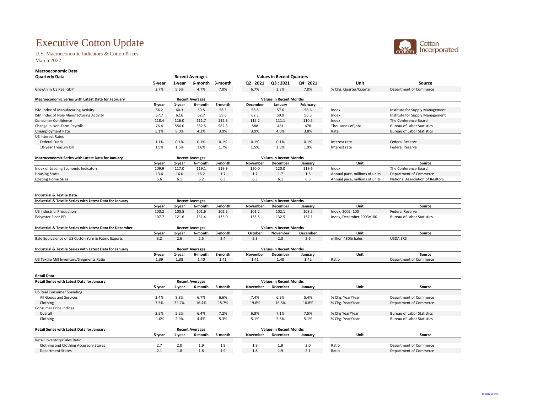## Executive Cotton Update

#### U.S. Macroeconomic Indicators & Cotton Prices March 2022



#### **Macroeconomic Data**

| <b>Quarterly Data</b>                                     |        |        | <b>Recent Averages</b> |         |          | <b>Values in Recent Quarters</b> |                 |                                |                                   |
|-----------------------------------------------------------|--------|--------|------------------------|---------|----------|----------------------------------|-----------------|--------------------------------|-----------------------------------|
|                                                           | 5-year | 1-year | 6-month                | 3-month | Q2:2021  | Q3:2021                          | Q4:2021         | Unit                           | Source                            |
| Growth in US Real GDP                                     | 2.7%   | 5.6%   | 4.7%                   | 7.0%    | 6.7%     | 2.3%                             | 7.0%            | % Chg. Quarter/Quarter         | Department of Commerce            |
| Macroeconomic Series with Latest Data for February        |        |        | <b>Recent Averages</b> |         |          | <b>Values in Recent Months</b>   |                 |                                |                                   |
|                                                           | 5-year | 1-year | 6-month                | 3-month | December | January                          | February        |                                |                                   |
| ISM Index of Manufacuring Activity                        | 56.2   | 60.3   | 59.5                   | 58.3    | 58.8     | 57.6                             | 58.6            | Index                          | Institute for Supply Management   |
| ISM Index of Non-Manufacturing Activity                   | 57.7   | 62.6   | 62.7                   | 59.6    | 62.3     | 59.9                             | 56.5            | Index                          | Institute for Supply Management   |
| <b>Consumer Confidence</b>                                | 118.4  | 116.0  | 111.7                  | 112.3   | 115.2    | 111.1                            | 110.5           | Index                          | The Conference Board              |
| Change in Non-Farm Payrolls                               | 76.4   | 556.0  | 582.5                  | 582.3   | 588      | 481                              | 678             | Thousands of jobs              | <b>Bureau of Labor Statistics</b> |
| <b>Unemployment Rate</b>                                  | 5.1%   | 5.0%   | 4.2%                   | 3.9%    | 3.9%     | 4.0%                             | 3.8%            | Rate                           | <b>Bureau of Labor Statistics</b> |
| <b>US Interest Rates</b>                                  |        |        |                        |         |          |                                  |                 |                                |                                   |
| <b>Federal Funds</b>                                      | 1.1%   | 0.1%   | 0.1%                   | 0.1%    | 0.1%     | 0.1%                             | 0.1%            | Interest rate                  | <b>Federal Reserve</b>            |
| 10-year Treasury Bill                                     | 1.9%   | 1.6%   | 1.6%                   | 1.7%    | 1.5%     | 1.8%                             | 1.9%            | Interest rate                  | <b>Federal Reserve</b>            |
| <b>Macroeconomic Series with Latest Data for January</b>  |        |        | <b>Recent Averages</b> |         |          | <b>Values in Recent Months</b>   |                 |                                |                                   |
|                                                           | 5-year | 1-year | 6-month                | 3-month | November | December                         | January         | Unit                           | Source                            |
| Index of Leading Economic Indicators                      | 109.9  | 117.0  | 119.1                  | 119.9   | 120.0    | 120.0                            | 119.6           | Index                          | The Conference Board              |
| <b>Housing Starts</b>                                     | 13.6   | 16.0   | 16.2                   | 1.7     | 1.7      | 1.7                              | 1.6             | Annual pace, millions of units | Department of Commerce            |
| <b>Existing Home Sales</b>                                | 5.6    | 6.1    | $6.2$                  | 6.3     | 6.3      | 6.1                              | 6.5             | Annual pace, millions of units | National Association of Realtors  |
| <b>Industrial &amp; Textile Data</b>                      |        |        |                        |         |          |                                  |                 |                                |                                   |
| Industrial & Textile Series with Latest Data for January  |        |        | <b>Recent Averages</b> |         |          | <b>Values in Recent Months</b>   |                 |                                |                                   |
|                                                           | 5-year | 1-year | 6-month                | 3-month | November | December                         | January         | Unit                           | Source                            |
| <b>US Industrial Production</b>                           | 100.2  | 100.5  | 101.6                  | 102.5   | 101.2    | 102.1                            | 103.5           | Index, 2002=100                | <b>Federal Reserve</b>            |
| Polyester Fiber PPI                                       | 107.7  | 121.6  | 131.4                  | 135.0   | 135.5    | 132.5                            | 137.1           | Index, December 2003=100       | <b>Bureau of Labor Statistics</b> |
| Industrial & Textile Series with Latest Data for December |        |        | <b>Recent Averages</b> |         |          | <b>Values in Recent Months</b>   |                 |                                |                                   |
|                                                           | 5-year | 1-year | 6-month                | 3-month | October  | November                         | <b>December</b> | Unit                           | Source                            |
| Bale Equivalence of US Cotton Yarn & Fabric Exports       | 3.2    | 2.6    | 2.5                    | 2.4     | 2.3      | 2.3                              | 2.6             | million 480lb bales            | <b>USDA ERS</b>                   |

| Industrial & Textile Series with Latest Data for January | <b>Recent Averages</b> |       |         |         |          | <b>Values in Recent Months</b> |          |       |                        |
|----------------------------------------------------------|------------------------|-------|---------|---------|----------|--------------------------------|----------|-------|------------------------|
|                                                          | s-vear                 | -vear | 6-month | 3-month | November | December                       | Januarv  |       | Unit<br>Source         |
| US Textile Mill Inventory/Shipments Ratio                | 1.39                   |       |         | 1.41    | 1.41     | 1.40                           | $\pm .4$ | Ratio | Department of Commerce |

**Retail Data**

| netali Data                                       |         |                                                                 |       |       |        |       |                                |       |                  |                                   |
|---------------------------------------------------|---------|-----------------------------------------------------------------|-------|-------|--------|-------|--------------------------------|-------|------------------|-----------------------------------|
| <b>Retail Series with Latest Data for January</b> |         | <b>Recent Averages</b>                                          |       |       |        |       | <b>Values in Recent Months</b> |       |                  |                                   |
|                                                   | 5-year  | 3-month<br>November<br>December<br>January<br>1-vear<br>6-month |       | Unit  | Source |       |                                |       |                  |                                   |
| US Real Consumer Spending                         |         |                                                                 |       |       |        |       |                                |       |                  |                                   |
| All Goods and Services                            | 2.4%    | 8.8%                                                            | 6.7%  | 6.6%  |        | 7.4%  | 6.9%                           | 5.4%  | % Chg. Year/Year | Department of Commerce            |
| Clothing                                          | 7.5%    | 32.7%                                                           | 16.4% | 15.7% |        | 19.6% | 16.8%                          | 10.8% | % Chg. Year/Year | Department of Commerce            |
| <b>Consumer Price Indices</b>                     |         |                                                                 |       |       |        |       |                                |       |                  |                                   |
| Overall                                           | 2.5%    | 5.2%                                                            | 6.4%  | 7.2%  |        | 6.8%  | 7.1%                           | 7.5%  | % Chg Year/Year  | <b>Bureau of Labor Statistics</b> |
| Clothing                                          | $-1.0%$ | 2.9%                                                            | 4.4%  | 5.3%  |        | 5.1%  | 5.6%                           | 5.1%  | % Chg. Year/Year | Bureau of Labor Statistics        |

| Retail Series with Latest Data for January | <b>Recent Averages</b> |        |         |         |          | <b>Values in Recent Months</b> |          |       |                        |
|--------------------------------------------|------------------------|--------|---------|---------|----------|--------------------------------|----------|-------|------------------------|
|                                            | 5-vear                 | .-vear | 6-month | 3-month | November | December                       | Januarv  | Unit  | Source                 |
| Retail Inventory/Sales Ratio               |                        |        |         |         |          |                                |          |       |                        |
| Clothing and Clothing Accessory Stores     |                        |        |         |         |          |                                |          | Ratio | Department of Commerce |
| <b>Department Stores</b>                   | .                      |        |         |         |          |                                | <u>.</u> | Ratio | Department of Commerce |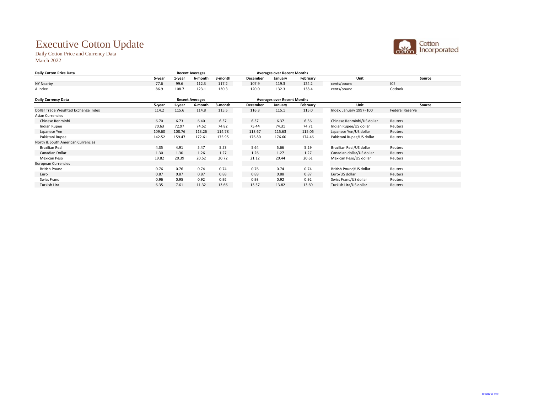## Executive Cotton Update

Daily Cotton Price and Currency Data March 2022



| Daily Cotton Price Data              |        |                        | <b>Recent Averages</b> |         |                 | <b>Averages over Recent Months</b> |          |                            |                        |
|--------------------------------------|--------|------------------------|------------------------|---------|-----------------|------------------------------------|----------|----------------------------|------------------------|
|                                      | 5-year | 1-year                 | 6-month                | 3-month | December        | January                            | February | Unit                       | Source                 |
| NY Nearby                            | 77.6   | 99.6                   | 112.3                  | 117.2   | 107.9           | 119.3                              | 124.2    | cents/pound                | ICE                    |
| A Index                              | 86.9   | 108.7                  | 123.1                  | 130.3   | 120.0           | 132.3                              | 138.4    | cents/pound                | Cotlook                |
| <b>Daily Currency Data</b>           |        | <b>Recent Averages</b> |                        |         |                 | <b>Averages over Recent Months</b> |          |                            |                        |
|                                      | 5-year | 1-year                 | 6-month                | 3-month | <b>December</b> | January                            | February | Unit                       | Source                 |
| Dollar Trade Weighted Exchange Index | 114.2  | 115.6                  | 114.8                  | 115.5   | 116.3           | 115.1                              | 115.0    | Index, January 1997=100    | <b>Federal Reserve</b> |
| <b>Asian Currencies</b>              |        |                        |                        |         |                 |                                    |          |                            |                        |
| Chinese Renminbi                     | 6.70   | 6.73                   | 6.40                   | 6.37    | 6.37            | 6.37                               | 6.36     | Chinese Renminbi/US dollar | Reuters                |
| <b>Indian Rupee</b>                  | 70.63  | 72.97                  | 74.52                  | 74.82   | 75.44           | 74.31                              | 74.71    | Indian Rupee/US dollar     | Reuters                |
| Japanese Yen                         | 109.60 | 108.76                 | 113.26                 | 114.78  | 113.67          | 115.63                             | 115.06   | Japanese Yen/US dollar     | Reuters                |
| Pakistani Rupee                      | 142.52 | 159.47                 | 172.61                 | 175.95  | 176.80          | 176.60                             | 174.46   | Pakistani Rupee/US dollar  | Reuters                |
| North & South American Currencies    |        |                        |                        |         |                 |                                    |          |                            |                        |
| <b>Brazilian Real</b>                | 4.35   | 4.91                   | 5.47                   | 5.53    | 5.64            | 5.66                               | 5.29     | Brazilian Real/US dollar   | Reuters                |
| Canadian Dollar                      | 1.30   | 1.30                   | 1.26                   | 1.27    | 1.26            | 1.27                               | 1.27     | Canadian dollar/US dollar  | Reuters                |
| Mexican Peso                         | 19.82  | 20.39                  | 20.52                  | 20.72   | 21.12           | 20.44                              | 20.61    | Mexican Peso/US dollar     | Reuters                |
| <b>European Currencies</b>           |        |                        |                        |         |                 |                                    |          |                            |                        |
| <b>British Pound</b>                 | 0.76   | 0.76                   | 0.74                   | 0.74    | 0.76            | 0.74                               | 0.74     | British Pound/US dollar    | Reuters                |
| Euro                                 | 0.87   | 0.87                   | 0.87                   | 0.88    | 0.89            | 0.88                               | 0.87     | Euro/US dollar             | Reuters                |
| Swiss Franc                          | 0.96   | 0.95                   | 0.92                   | 0.92    | 0.93            | 0.92                               | 0.92     | Swiss Franc/US dollar      | Reuters                |
| Turkish Lira                         | 6.35   | 7.61                   | 11.32                  | 13.66   | 13.57           | 13.82                              | 13.60    | Turkish Lira/US dollar     | Reuters                |
|                                      |        |                        |                        |         |                 |                                    |          |                            |                        |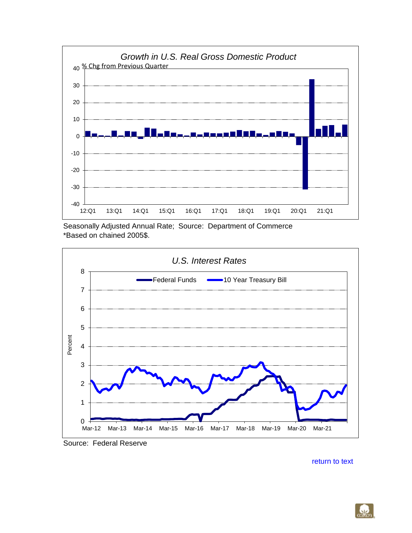<span id="page-3-0"></span>

Seasonally Adjusted Annual Rate; Source: Department of Commerce \*Based on chained 2005\$.



Source: Federal Reserve

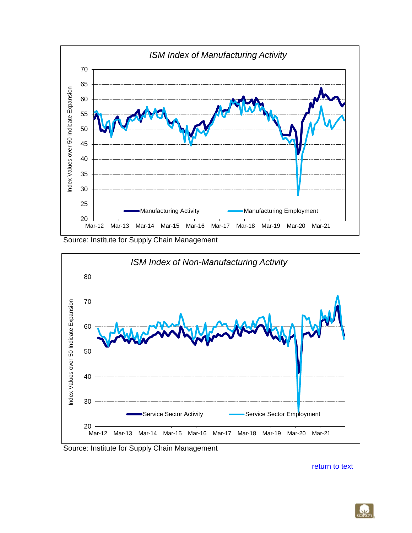<span id="page-4-0"></span>

Source: Institute for Supply Chain Management



[return to text](#page-0-0)

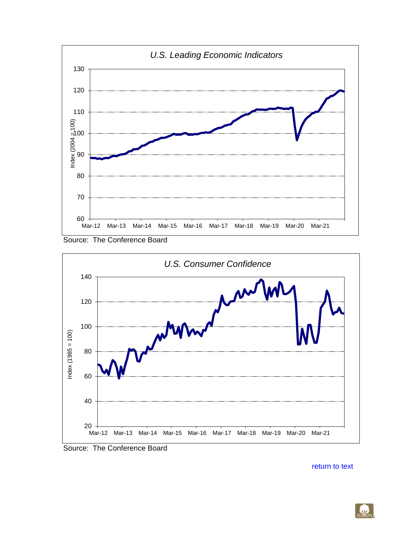<span id="page-5-0"></span>

Source: The Conference Board



Source: The Conference Board

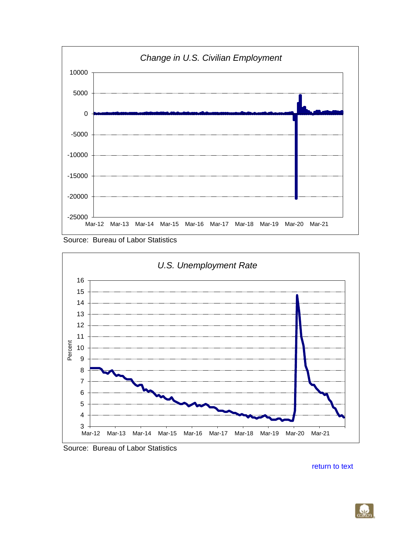<span id="page-6-0"></span>





Source: Bureau of Labor Statistics

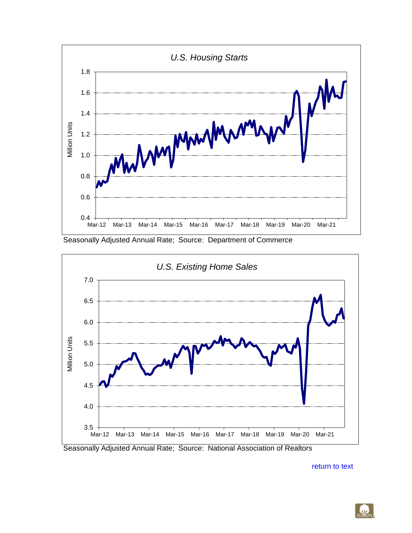<span id="page-7-0"></span>

Seasonally Adjusted Annual Rate; Source: Department of Commerce



[return to text](#page-0-0)

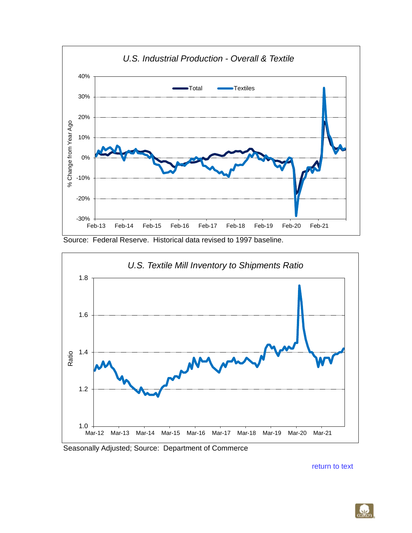<span id="page-8-0"></span>

Source: Federal Reserve. Historical data revised to 1997 baseline.



Seasonally Adjusted; Source: Department of Commerce

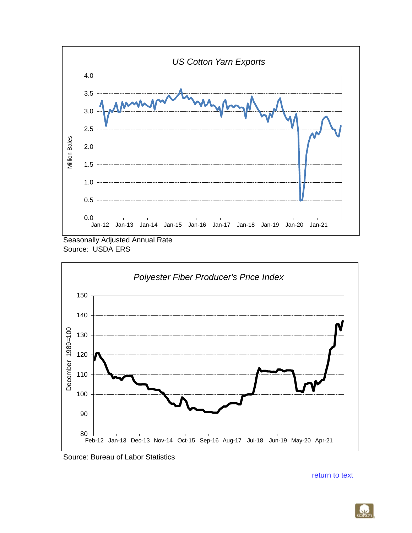<span id="page-9-0"></span>





Source: Bureau of Labor Statistics

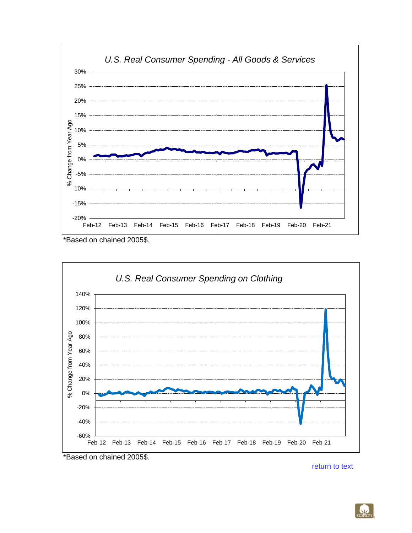<span id="page-10-0"></span>

<sup>\*</sup>Based on chained 2005\$.



[return to text](#page-0-0)

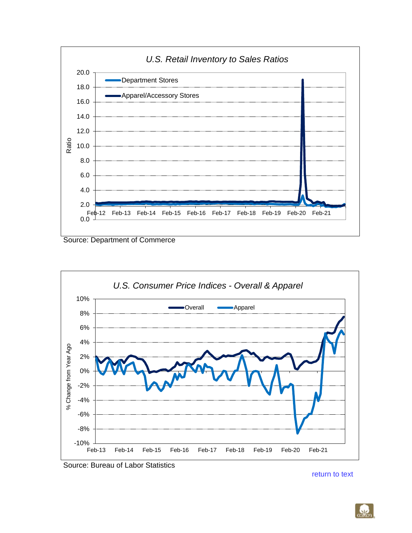<span id="page-11-0"></span>





Source: Bureau of Labor Statistics

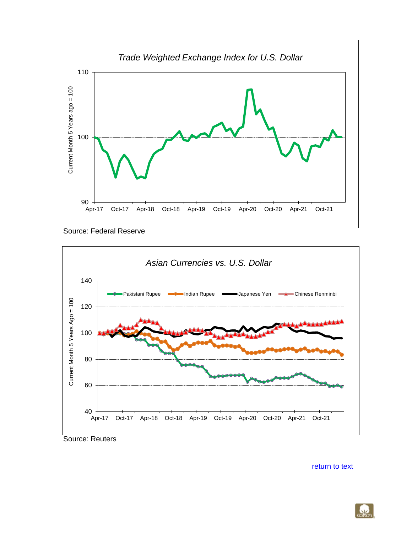<span id="page-12-0"></span>

Source: Federal Reserve



Source: Reuters

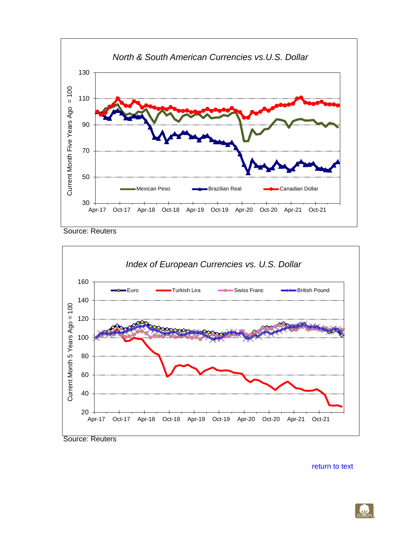<span id="page-13-0"></span>

Source: Reuters



[return to text](#page-0-0)